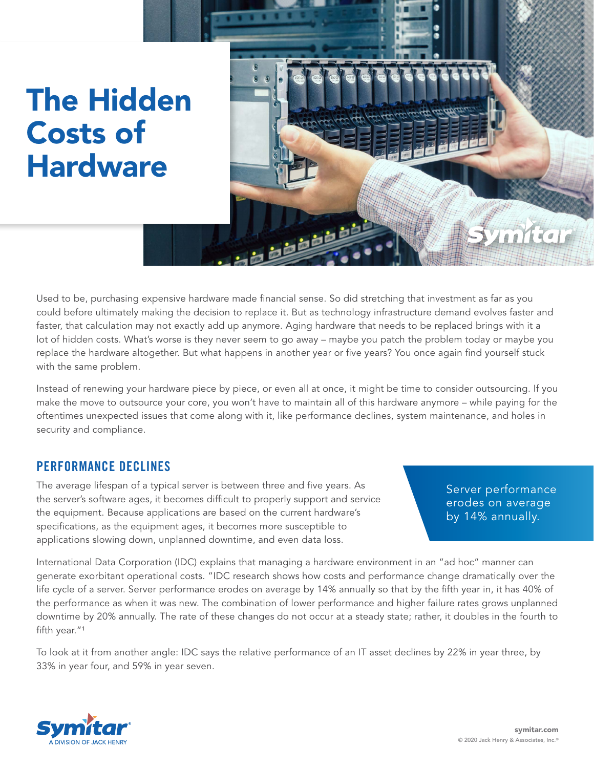# The Hidden Costs of **Hardware**



Used to be, purchasing expensive hardware made financial sense. So did stretching that investment as far as you could before ultimately making the decision to replace it. But as technology infrastructure demand evolves faster and faster, that calculation may not exactly add up anymore. Aging hardware that needs to be replaced brings with it a lot of hidden costs. What's worse is they never seem to go away – maybe you patch the problem today or maybe you replace the hardware altogether. But what happens in another year or five years? You once again find yourself stuck with the same problem.

Instead of renewing your hardware piece by piece, or even all at once, it might be time to consider outsourcing. If you make the move to outsource your core, you won't have to maintain all of this hardware anymore – while paying for the oftentimes unexpected issues that come along with it, like performance declines, system maintenance, and holes in security and compliance.

## PERFORMANCE DECLINES

The average lifespan of a typical server is between three and five years. As the server's software ages, it becomes difficult to properly support and service the equipment. Because applications are based on the current hardware's specifications, as the equipment ages, it becomes more susceptible to applications slowing down, unplanned downtime, and even data loss.

Server performance erodes on average by 14% annually.

International Data Corporation (IDC) explains that managing a hardware environment in an "ad hoc" manner can generate exorbitant operational costs. "IDC research shows how costs and performance change dramatically over the life cycle of a server. Server performance erodes on average by 14% annually so that by the fifth year in, it has 40% of the performance as when it was new. The combination of lower performance and higher failure rates grows unplanned downtime by 20% annually. The rate of these changes do not occur at a steady state; rather, it doubles in the fourth to fifth year."<sup>1</sup>

To look at it from another angle: IDC says the relative performance of an IT asset declines by 22% in year three, by 33% in year four, and 59% in year seven.